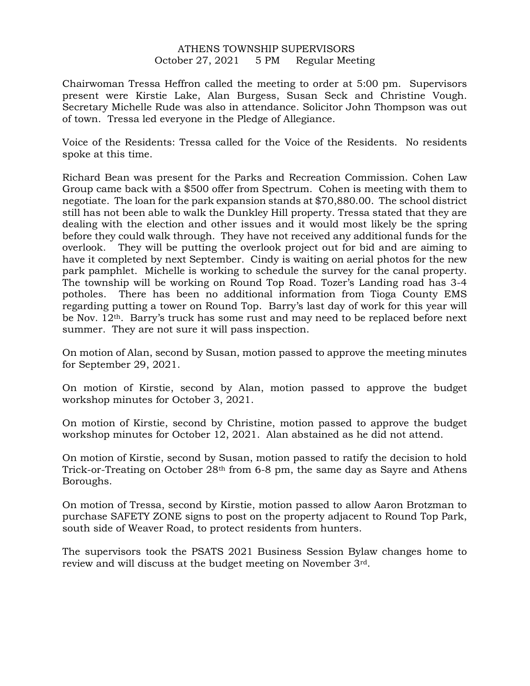## ATHENS TOWNSHIP SUPERVISORS October 27, 2021 5 PM Regular Meeting

Chairwoman Tressa Heffron called the meeting to order at 5:00 pm. Supervisors present were Kirstie Lake, Alan Burgess, Susan Seck and Christine Vough. Secretary Michelle Rude was also in attendance. Solicitor John Thompson was out of town. Tressa led everyone in the Pledge of Allegiance.

Voice of the Residents: Tressa called for the Voice of the Residents. No residents spoke at this time.

Richard Bean was present for the Parks and Recreation Commission. Cohen Law Group came back with a \$500 offer from Spectrum. Cohen is meeting with them to negotiate. The loan for the park expansion stands at \$70,880.00. The school district still has not been able to walk the Dunkley Hill property. Tressa stated that they are dealing with the election and other issues and it would most likely be the spring before they could walk through. They have not received any additional funds for the overlook. They will be putting the overlook project out for bid and are aiming to have it completed by next September. Cindy is waiting on aerial photos for the new park pamphlet. Michelle is working to schedule the survey for the canal property. The township will be working on Round Top Road. Tozer's Landing road has 3-4 potholes. There has been no additional information from Tioga County EMS regarding putting a tower on Round Top. Barry's last day of work for this year will be Nov. 12<sup>th</sup>. Barry's truck has some rust and may need to be replaced before next summer. They are not sure it will pass inspection.

On motion of Alan, second by Susan, motion passed to approve the meeting minutes for September 29, 2021.

On motion of Kirstie, second by Alan, motion passed to approve the budget workshop minutes for October 3, 2021.

On motion of Kirstie, second by Christine, motion passed to approve the budget workshop minutes for October 12, 2021. Alan abstained as he did not attend.

On motion of Kirstie, second by Susan, motion passed to ratify the decision to hold Trick-or-Treating on October 28th from 6-8 pm, the same day as Sayre and Athens Boroughs.

On motion of Tressa, second by Kirstie, motion passed to allow Aaron Brotzman to purchase SAFETY ZONE signs to post on the property adjacent to Round Top Park, south side of Weaver Road, to protect residents from hunters.

The supervisors took the PSATS 2021 Business Session Bylaw changes home to review and will discuss at the budget meeting on November 3rd.